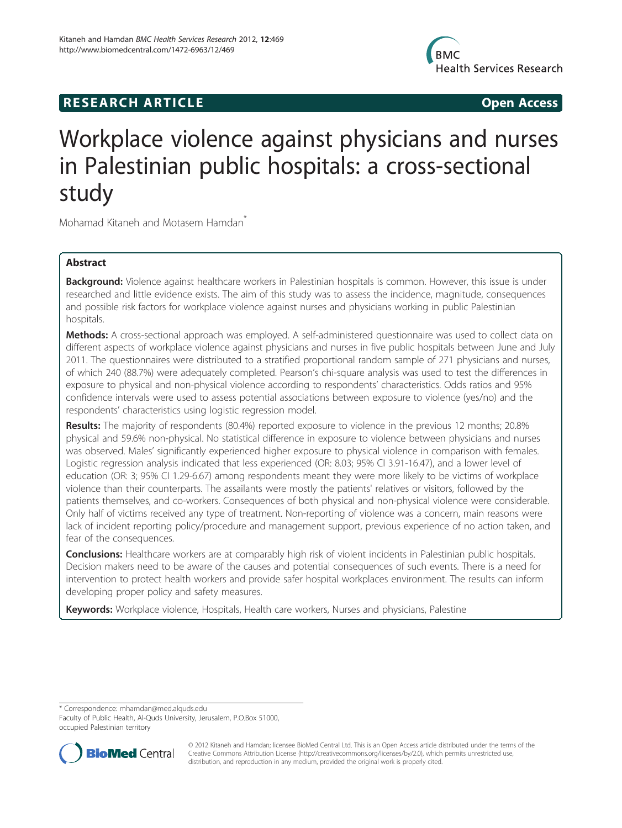



# Workplace violence against physicians and nurses in Palestinian public hospitals: a cross-sectional study

Mohamad Kitaneh and Motasem Hamdan<sup>\*</sup>

# Abstract

Background: Violence against healthcare workers in Palestinian hospitals is common. However, this issue is under researched and little evidence exists. The aim of this study was to assess the incidence, magnitude, consequences and possible risk factors for workplace violence against nurses and physicians working in public Palestinian hospitals.

Methods: A cross-sectional approach was employed. A self-administered questionnaire was used to collect data on different aspects of workplace violence against physicians and nurses in five public hospitals between June and July 2011. The questionnaires were distributed to a stratified proportional random sample of 271 physicians and nurses, of which 240 (88.7%) were adequately completed. Pearson's chi-square analysis was used to test the differences in exposure to physical and non-physical violence according to respondents' characteristics. Odds ratios and 95% confidence intervals were used to assess potential associations between exposure to violence (yes/no) and the respondents' characteristics using logistic regression model.

Results: The majority of respondents (80.4%) reported exposure to violence in the previous 12 months; 20.8% physical and 59.6% non-physical. No statistical difference in exposure to violence between physicians and nurses was observed. Males' significantly experienced higher exposure to physical violence in comparison with females. Logistic regression analysis indicated that less experienced (OR: 8.03; 95% CI 3.91-16.47), and a lower level of education (OR: 3; 95% CI 1.29-6.67) among respondents meant they were more likely to be victims of workplace violence than their counterparts. The assailants were mostly the patients' relatives or visitors, followed by the patients themselves, and co-workers. Consequences of both physical and non-physical violence were considerable. Only half of victims received any type of treatment. Non-reporting of violence was a concern, main reasons were lack of incident reporting policy/procedure and management support, previous experience of no action taken, and fear of the consequences.

**Conclusions:** Healthcare workers are at comparably high risk of violent incidents in Palestinian public hospitals. Decision makers need to be aware of the causes and potential consequences of such events. There is a need for intervention to protect health workers and provide safer hospital workplaces environment. The results can inform developing proper policy and safety measures.

Keywords: Workplace violence, Hospitals, Health care workers, Nurses and physicians, Palestine

\* Correspondence: [mhamdan@med.alquds.edu](mailto:mhamdan@med.alquds.edu)

Faculty of Public Health, Al-Quds University, Jerusalem, P.O.Box 51000, occupied Palestinian territory



© 2012 Kitaneh and Hamdan; licensee BioMed Central Ltd. This is an Open Access article distributed under the terms of the Creative Commons Attribution License (<http://creativecommons.org/licenses/by/2.0>), which permits unrestricted use, distribution, and reproduction in any medium, provided the original work is properly cited.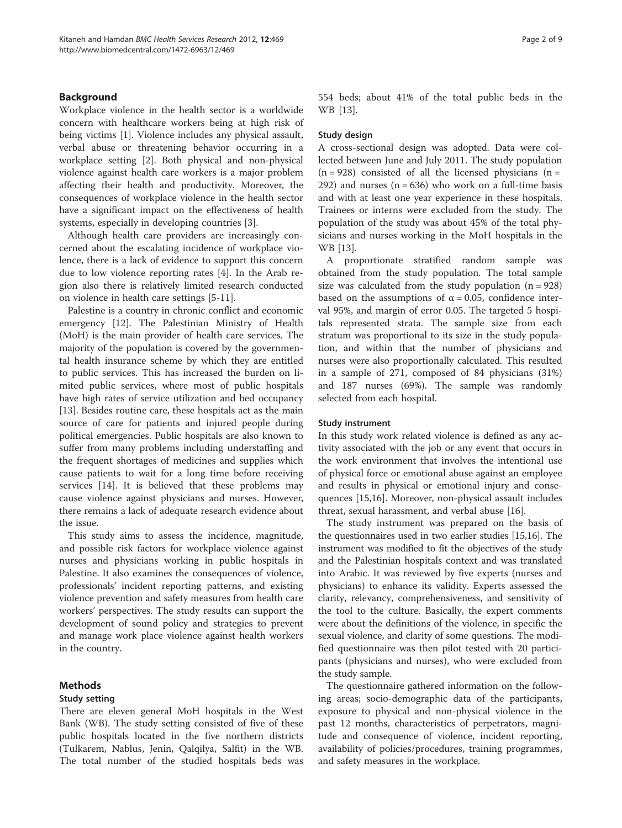## Background

Workplace violence in the health sector is a worldwide concern with healthcare workers being at high risk of being victims [[1\]](#page-8-0). Violence includes any physical assault, verbal abuse or threatening behavior occurring in a workplace setting [\[2](#page-8-0)]. Both physical and non-physical violence against health care workers is a major problem affecting their health and productivity. Moreover, the consequences of workplace violence in the health sector have a significant impact on the effectiveness of health systems, especially in developing countries [\[3](#page-8-0)].

Although health care providers are increasingly concerned about the escalating incidence of workplace violence, there is a lack of evidence to support this concern due to low violence reporting rates [\[4](#page-8-0)]. In the Arab region also there is relatively limited research conducted on violence in health care settings [\[5](#page-8-0)-[11\]](#page-8-0).

Palestine is a country in chronic conflict and economic emergency [[12\]](#page-8-0). The Palestinian Ministry of Health (MoH) is the main provider of health care services. The majority of the population is covered by the governmental health insurance scheme by which they are entitled to public services. This has increased the burden on limited public services, where most of public hospitals have high rates of service utilization and bed occupancy [[13\]](#page-8-0). Besides routine care, these hospitals act as the main source of care for patients and injured people during political emergencies. Public hospitals are also known to suffer from many problems including understaffing and the frequent shortages of medicines and supplies which cause patients to wait for a long time before receiving services [\[14](#page-8-0)]. It is believed that these problems may cause violence against physicians and nurses. However, there remains a lack of adequate research evidence about the issue.

This study aims to assess the incidence, magnitude, and possible risk factors for workplace violence against nurses and physicians working in public hospitals in Palestine. It also examines the consequences of violence, professionals' incident reporting patterns, and existing violence prevention and safety measures from health care workers' perspectives. The study results can support the development of sound policy and strategies to prevent and manage work place violence against health workers in the country.

## Methods

## Study setting

There are eleven general MoH hospitals in the West Bank (WB). The study setting consisted of five of these public hospitals located in the five northern districts (Tulkarem, Nablus, Jenin, Qalqilya, Salfit) in the WB. The total number of the studied hospitals beds was 554 beds; about 41% of the total public beds in the WB [[13](#page-8-0)].

#### Study design

A cross-sectional design was adopted. Data were collected between June and July 2011. The study population  $(n = 928)$  consisted of all the licensed physicians  $(n = 928)$ 292) and nurses  $(n = 636)$  who work on a full-time basis and with at least one year experience in these hospitals. Trainees or interns were excluded from the study. The population of the study was about 45% of the total physicians and nurses working in the MoH hospitals in the WB [[13](#page-8-0)].

A proportionate stratified random sample was obtained from the study population. The total sample size was calculated from the study population  $(n = 928)$ based on the assumptions of  $\alpha = 0.05$ , confidence interval 95%, and margin of error 0.05. The targeted 5 hospitals represented strata. The sample size from each stratum was proportional to its size in the study population, and within that the number of physicians and nurses were also proportionally calculated. This resulted in a sample of 271, composed of 84 physicians (31%) and 187 nurses (69%). The sample was randomly selected from each hospital.

#### Study instrument

In this study work related violence is defined as any activity associated with the job or any event that occurs in the work environment that involves the intentional use of physical force or emotional abuse against an employee and results in physical or emotional injury and consequences [[15,16\]](#page-8-0). Moreover, non-physical assault includes threat, sexual harassment, and verbal abuse [[16\]](#page-8-0).

The study instrument was prepared on the basis of the questionnaires used in two earlier studies [\[15,16](#page-8-0)]. The instrument was modified to fit the objectives of the study and the Palestinian hospitals context and was translated into Arabic. It was reviewed by five experts (nurses and physicians) to enhance its validity. Experts assessed the clarity, relevancy, comprehensiveness, and sensitivity of the tool to the culture. Basically, the expert comments were about the definitions of the violence, in specific the sexual violence, and clarity of some questions. The modified questionnaire was then pilot tested with 20 participants (physicians and nurses), who were excluded from the study sample.

The questionnaire gathered information on the following areas; socio-demographic data of the participants, exposure to physical and non-physical violence in the past 12 months, characteristics of perpetrators, magnitude and consequence of violence, incident reporting, availability of policies/procedures, training programmes, and safety measures in the workplace.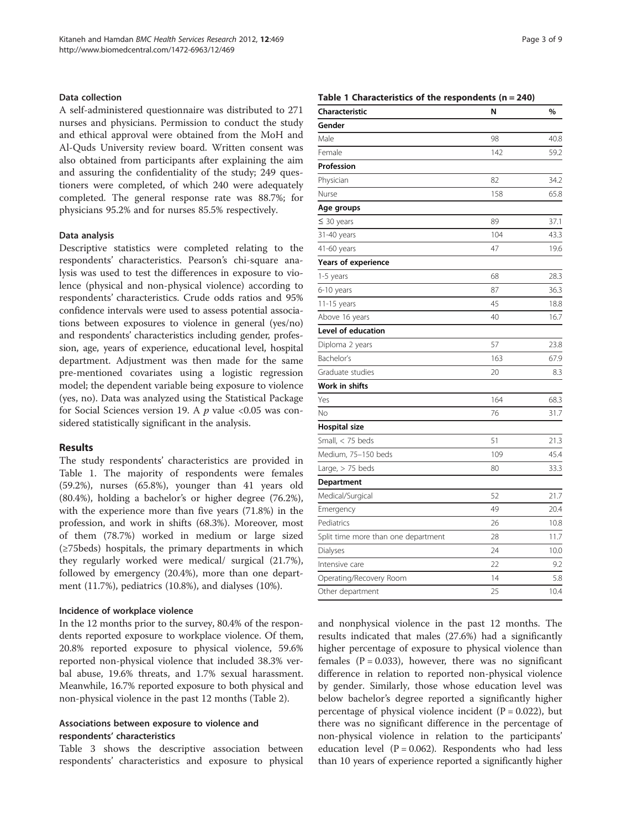## Data collection

A self-administered questionnaire was distributed to 271 nurses and physicians. Permission to conduct the study and ethical approval were obtained from the MoH and Al-Quds University review board. Written consent was also obtained from participants after explaining the aim and assuring the confidentiality of the study; 249 questioners were completed, of which 240 were adequately completed. The general response rate was 88.7%; for physicians 95.2% and for nurses 85.5% respectively.

#### Data analysis

Descriptive statistics were completed relating to the respondents' characteristics. Pearson's chi-square analysis was used to test the differences in exposure to violence (physical and non-physical violence) according to respondents' characteristics. Crude odds ratios and 95% confidence intervals were used to assess potential associations between exposures to violence in general (yes/no) and respondents' characteristics including gender, profession, age, years of experience, educational level, hospital department. Adjustment was then made for the same pre-mentioned covariates using a logistic regression model; the dependent variable being exposure to violence (yes, no). Data was analyzed using the Statistical Package for Social Sciences version 19. A  $p$  value <0.05 was considered statistically significant in the analysis.

#### Results

The study respondents' characteristics are provided in Table 1. The majority of respondents were females (59.2%), nurses (65.8%), younger than 41 years old (80.4%), holding a bachelor's or higher degree (76.2%), with the experience more than five years (71.8%) in the profession, and work in shifts (68.3%). Moreover, most of them (78.7%) worked in medium or large sized (≥75beds) hospitals, the primary departments in which they regularly worked were medical/ surgical (21.7%), followed by emergency (20.4%), more than one department (11.7%), pediatrics (10.8%), and dialyses (10%).

#### Incidence of workplace violence

In the 12 months prior to the survey, 80.4% of the respondents reported exposure to workplace violence. Of them, 20.8% reported exposure to physical violence, 59.6% reported non-physical violence that included 38.3% verbal abuse, 19.6% threats, and 1.7% sexual harassment. Meanwhile, 16.7% reported exposure to both physical and non-physical violence in the past 12 months (Table [2\)](#page-3-0).

## Associations between exposure to violence and respondents' characteristics

Table [3](#page-3-0) shows the descriptive association between respondents' characteristics and exposure to physical

#### Table 1 Characteristics of the respondents  $(n = 240)$

| Characteristic                      | N   | $\%$ |
|-------------------------------------|-----|------|
| Gender                              |     |      |
| Male                                | 98  | 40.8 |
| Female                              | 142 | 59.2 |
| Profession                          |     |      |
| Physician                           | 82  | 34.2 |
| Nurse                               | 158 | 65.8 |
| Age groups                          |     |      |
| $\leq$ 30 years                     | 89  | 37.1 |
| 31-40 years                         | 104 | 43.3 |
| 41-60 years                         | 47  | 19.6 |
| <b>Years of experience</b>          |     |      |
| 1-5 years                           | 68  | 28.3 |
| 6-10 years                          | 87  | 36.3 |
| 11-15 years                         | 45  | 18.8 |
| Above 16 years                      | 40  | 16.7 |
| Level of education                  |     |      |
| Diploma 2 years                     | 57  | 23.8 |
| Bachelor's                          | 163 | 67.9 |
| Graduate studies                    | 20  | 8.3  |
| Work in shifts                      |     |      |
| Yes                                 | 164 | 68.3 |
| No                                  | 76  | 31.7 |
| <b>Hospital size</b>                |     |      |
| Small, < 75 beds                    | 51  | 21.3 |
| Medium, 75-150 beds                 | 109 | 45.4 |
| Large, $> 75$ beds                  | 80  | 33.3 |
| Department                          |     |      |
| Medical/Surgical                    | 52  | 21.7 |
| Emergency                           | 49  | 20.4 |
| Pediatrics                          | 26  | 10.8 |
| Split time more than one department | 28  | 11.7 |
| Dialyses                            | 24  | 10.0 |
| Intensive care                      | 22  | 9.2  |
| Operating/Recovery Room             | 14  | 5.8  |
| Other department                    | 25  | 10.4 |

and nonphysical violence in the past 12 months. The results indicated that males (27.6%) had a significantly higher percentage of exposure to physical violence than females ( $P = 0.033$ ), however, there was no significant difference in relation to reported non-physical violence by gender. Similarly, those whose education level was below bachelor's degree reported a significantly higher percentage of physical violence incident ( $P = 0.022$ ), but there was no significant difference in the percentage of non-physical violence in relation to the participants' education level  $(P = 0.062)$ . Respondents who had less than 10 years of experience reported a significantly higher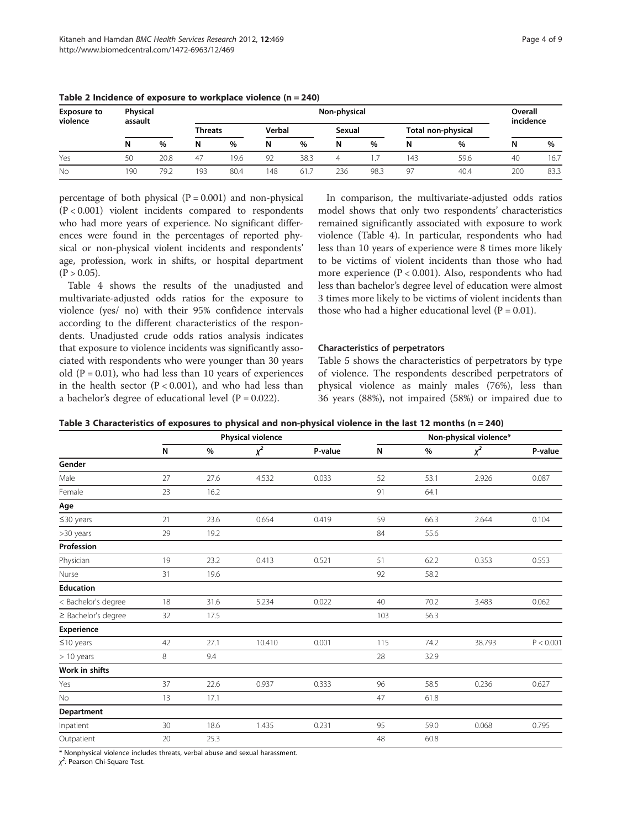| Page 4 |  |
|--------|--|
|        |  |

| <b>Exposure to</b><br>violence | Physical<br>assault |      |                |      |        |      | Non-physical |      |                    |      | Overall<br>incidence |      |
|--------------------------------|---------------------|------|----------------|------|--------|------|--------------|------|--------------------|------|----------------------|------|
|                                |                     |      | <b>Threats</b> |      | Verbal |      | Sexual       |      | Total non-physical |      |                      |      |
|                                | N                   | %    | Ν              | $\%$ | N      | %    | N            | $\%$ | N                  | %    | N                    | %    |
| Yes                            | 50                  | 20.8 | 47             | 19.6 | 92     | 38.3 |              |      | 143                | 59.6 | 40                   | 16.7 |
| No                             | 190                 | 79.2 | 193            | 80.4 | 148    | 61.  | 236          | 98.3 | 97                 | 40.4 | 200                  | 83.3 |

<span id="page-3-0"></span>Table 2 Incidence of exposure to workplace violence (n = 240)

percentage of both physical  $(P = 0.001)$  and non-physical (P < 0.001) violent incidents compared to respondents who had more years of experience. No significant differences were found in the percentages of reported physical or non-physical violent incidents and respondents' age, profession, work in shifts, or hospital department  $(P > 0.05)$ .

Table [4](#page-4-0) shows the results of the unadjusted and multivariate-adjusted odds ratios for the exposure to violence (yes/ no) with their 95% confidence intervals according to the different characteristics of the respondents. Unadjusted crude odds ratios analysis indicates that exposure to violence incidents was significantly associated with respondents who were younger than 30 years old  $(P = 0.01)$ , who had less than 10 years of experiences in the health sector  $(P < 0.001)$ , and who had less than a bachelor's degree of educational level ( $P = 0.022$ ).

In comparison, the multivariate-adjusted odds ratios model shows that only two respondents' characteristics remained significantly associated with exposure to work violence (Table [4\)](#page-4-0). In particular, respondents who had less than 10 years of experience were 8 times more likely to be victims of violent incidents than those who had more experience  $(P < 0.001)$ . Also, respondents who had less than bachelor's degree level of education were almost 3 times more likely to be victims of violent incidents than those who had a higher educational level  $(P = 0.01)$ .

#### Characteristics of perpetrators

Table [5](#page-4-0) shows the characteristics of perpetrators by type of violence. The respondents described perpetrators of physical violence as mainly males (76%), less than 36 years (88%), not impaired (58%) or impaired due to

| Table 3 Characteristics of exposures to physical and non-physical violence in the last 12 months (n = 240) |  |  |
|------------------------------------------------------------------------------------------------------------|--|--|
|                                                                                                            |  |  |

|                     | Physical violence |      |        |         |     | Non-physical violence* |          |           |
|---------------------|-------------------|------|--------|---------|-----|------------------------|----------|-----------|
|                     | N                 | %    | $x^2$  | P-value | N   | $\%$                   | $\chi^2$ | P-value   |
| Gender              |                   |      |        |         |     |                        |          |           |
| Male                | 27                | 27.6 | 4.532  | 0.033   | 52  | 53.1                   | 2.926    | 0.087     |
| Female              | 23                | 16.2 |        |         | 91  | 64.1                   |          |           |
| Age                 |                   |      |        |         |     |                        |          |           |
| $\leq$ 30 years     | 21                | 23.6 | 0.654  | 0.419   | 59  | 66.3                   | 2.644    | 0.104     |
| >30 years           | 29                | 19.2 |        |         | 84  | 55.6                   |          |           |
| Profession          |                   |      |        |         |     |                        |          |           |
| Physician           | 19                | 23.2 | 0.413  | 0.521   | 51  | 62.2                   | 0.353    | 0.553     |
| Nurse               | 31                | 19.6 |        |         | 92  | 58.2                   |          |           |
| <b>Education</b>    |                   |      |        |         |     |                        |          |           |
| < Bachelor's degree | 18                | 31.6 | 5.234  | 0.022   | 40  | 70.2                   | 3.483    | 0.062     |
| ≥ Bachelor's degree | 32                | 17.5 |        |         | 103 | 56.3                   |          |           |
| Experience          |                   |      |        |         |     |                        |          |           |
| $\leq$ 10 years     | 42                | 27.1 | 10.410 | 0.001   | 115 | 74.2                   | 38.793   | P < 0.001 |
| $> 10$ years        | 8                 | 9.4  |        |         | 28  | 32.9                   |          |           |
| Work in shifts      |                   |      |        |         |     |                        |          |           |
| Yes                 | 37                | 22.6 | 0.937  | 0.333   | 96  | 58.5                   | 0.236    | 0.627     |
| <b>No</b>           | 13                | 17.1 |        |         | 47  | 61.8                   |          |           |
| Department          |                   |      |        |         |     |                        |          |           |
| Inpatient           | 30                | 18.6 | 1.435  | 0.231   | 95  | 59.0                   | 0.068    | 0.795     |
| Outpatient          | 20                | 25.3 |        |         | 48  | 60.8                   |          |           |

\* Nonphysical violence includes threats, verbal abuse and sexual harassment.

 $\chi^2$ : Pearson Chi-Square Test.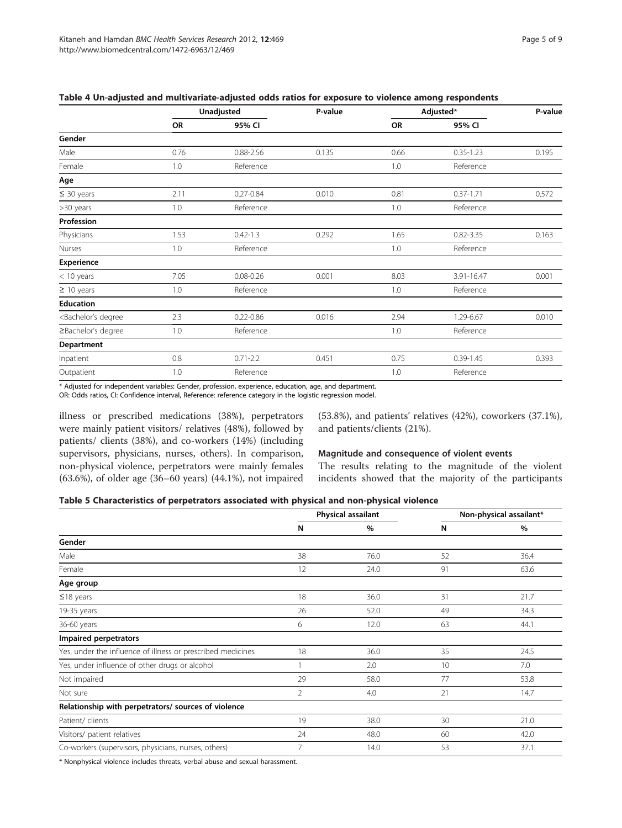|                                                                                                                                                    | Unadjusted |               | P-value |      | Adjusted*     | P-value |
|----------------------------------------------------------------------------------------------------------------------------------------------------|------------|---------------|---------|------|---------------|---------|
|                                                                                                                                                    | OR         | 95% CI        |         | OR   | 95% CI        |         |
| Gender                                                                                                                                             |            |               |         |      |               |         |
| Male                                                                                                                                               | 0.76       | $0.88 - 2.56$ | 0.135   | 0.66 | $0.35 - 1.23$ | 0.195   |
| Female                                                                                                                                             | 1.0        | Reference     |         | 1.0  | Reference     |         |
| Age                                                                                                                                                |            |               |         |      |               |         |
| $\leq 30$ years                                                                                                                                    | 2.11       | $0.27 - 0.84$ | 0.010   | 0.81 | $0.37 - 1.71$ | 0.572   |
| >30 years                                                                                                                                          | 1.0        | Reference     |         | 1.0  | Reference     |         |
| Profession                                                                                                                                         |            |               |         |      |               |         |
| Physicians                                                                                                                                         | 1.53       | $0.42 - 1.3$  | 0.292   | 1.65 | $0.82 - 3.35$ | 0.163   |
| Nurses                                                                                                                                             | 1.0        | Reference     |         | 1.0  | Reference     |         |
| <b>Experience</b>                                                                                                                                  |            |               |         |      |               |         |
| $<$ 10 years                                                                                                                                       | 7.05       | $0.08 - 0.26$ | 0.001   | 8.03 | 3.91-16.47    | 0.001   |
| $\geq$ 10 years                                                                                                                                    | 1.0        | Reference     |         | 1.0  | Reference     |         |
| <b>Education</b>                                                                                                                                   |            |               |         |      |               |         |
| <bachelor's degree<="" td=""><td>2.3</td><td><math>0.22 - 0.86</math></td><td>0.016</td><td>2.94</td><td>1.29-6.67</td><td>0.010</td></bachelor's> | 2.3        | $0.22 - 0.86$ | 0.016   | 2.94 | 1.29-6.67     | 0.010   |
| ≥Bachelor's degree                                                                                                                                 | 1.0        | Reference     |         | 1.0  | Reference     |         |
| Department                                                                                                                                         |            |               |         |      |               |         |
| Inpatient                                                                                                                                          | 0.8        | $0.71 - 2.2$  | 0.451   | 0.75 | $0.39 - 1.45$ | 0.393   |
| Outpatient                                                                                                                                         | 1.0        | Reference     |         | 1.0  | Reference     |         |

<span id="page-4-0"></span>

|  |  |  | Table 4 Un-adjusted and multivariate-adjusted odds ratios for exposure to violence among respondents |
|--|--|--|------------------------------------------------------------------------------------------------------|
|--|--|--|------------------------------------------------------------------------------------------------------|

\* Adjusted for independent variables: Gender, profession, experience, education, age, and department.

OR: Odds ratios, CI: Confidence interval, Reference: reference category in the logistic regression model.

illness or prescribed medications (38%), perpetrators were mainly patient visitors/ relatives (48%), followed by patients/ clients (38%), and co-workers (14%) (including supervisors, physicians, nurses, others). In comparison, non-physical violence, perpetrators were mainly females (63.6%), of older age (36–60 years) (44.1%), not impaired

(53.8%), and patients' relatives (42%), coworkers (37.1%), and patients/clients (21%).

## Magnitude and consequence of violent events

The results relating to the magnitude of the violent incidents showed that the majority of the participants

## Table 5 Characteristics of perpetrators associated with physical and non-physical violence

|                                                             | Physical assailant |      | Non-physical assailant* |      |
|-------------------------------------------------------------|--------------------|------|-------------------------|------|
|                                                             | N                  | $\%$ | N                       | $\%$ |
| Gender                                                      |                    |      |                         |      |
| Male                                                        | 38                 | 76.0 | 52                      | 36.4 |
| Female                                                      | 12                 | 24.0 | 91                      | 63.6 |
| Age group                                                   |                    |      |                         |      |
| $≤18$ years                                                 | 18                 | 36.0 | 31                      | 21.7 |
| 19-35 years                                                 | 26                 | 52.0 | 49                      | 34.3 |
| 36-60 years                                                 | 6                  | 12.0 | 63                      | 44.1 |
| Impaired perpetrators                                       |                    |      |                         |      |
| Yes, under the influence of illness or prescribed medicines | 18                 | 36.0 | 35                      | 24.5 |
| Yes, under influence of other drugs or alcohol              |                    | 2.0  | 10                      | 7.0  |
| Not impaired                                                | 29                 | 58.0 | 77                      | 53.8 |
| Not sure                                                    | 2                  | 4.0  | 21                      | 14.7 |
| Relationship with perpetrators/ sources of violence         |                    |      |                         |      |
| Patient/ clients                                            | 19                 | 38.0 | 30                      | 21.0 |
| Visitors/ patient relatives                                 | 24                 | 48.0 | 60                      | 42.0 |
| Co-workers (supervisors, physicians, nurses, others)        | 7                  | 14.0 | 53                      | 37.1 |
|                                                             |                    |      |                         |      |

\* Nonphysical violence includes threats, verbal abuse and sexual harassment.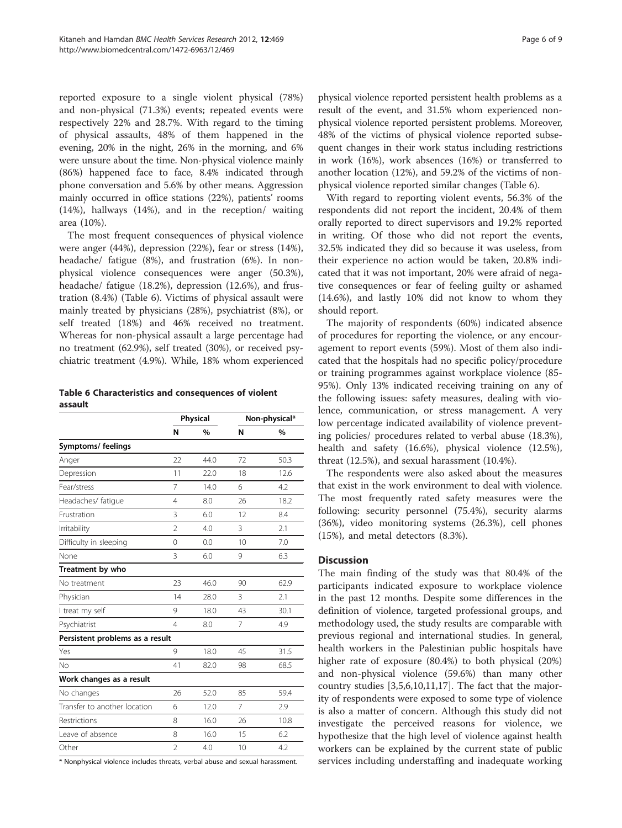reported exposure to a single violent physical (78%) and non-physical (71.3%) events; repeated events were respectively 22% and 28.7%. With regard to the timing of physical assaults, 48% of them happened in the evening, 20% in the night, 26% in the morning, and 6% were unsure about the time. Non-physical violence mainly (86%) happened face to face, 8.4% indicated through phone conversation and 5.6% by other means. Aggression mainly occurred in office stations (22%), patients' rooms (14%), hallways (14%), and in the reception/ waiting area (10%).

The most frequent consequences of physical violence were anger (44%), depression (22%), fear or stress (14%), headache/ fatigue (8%), and frustration (6%). In nonphysical violence consequences were anger (50.3%), headache/ fatigue (18.2%), depression (12.6%), and frustration (8.4%) (Table 6). Victims of physical assault were mainly treated by physicians (28%), psychiatrist (8%), or self treated (18%) and 46% received no treatment. Whereas for non-physical assault a large percentage had no treatment (62.9%), self treated (30%), or received psychiatric treatment (4.9%). While, 18% whom experienced

| Table 6 Characteristics and consequences of violent |  |
|-----------------------------------------------------|--|
| assault                                             |  |

|                                 |                | Physical      | Non-physical*   |      |  |
|---------------------------------|----------------|---------------|-----------------|------|--|
|                                 | N              | $\frac{0}{0}$ | N               | %    |  |
| Symptoms/feelings               |                |               |                 |      |  |
| Anger                           | 22             | 44.0          | 72              | 50.3 |  |
| Depression                      | 11             | 22.0          | 18              | 12.6 |  |
| Fear/stress                     | 7              | 14.0          | 6               | 4.2  |  |
| Headaches/ fatique              | $\overline{4}$ | 8.0           | 26              | 18.2 |  |
| Frustration                     | 3              | 6.0           | 12              | 8.4  |  |
| Irritability                    | $\mathfrak{D}$ | 4.0           | 3               | 2.1  |  |
| Difficulty in sleeping          | $\mathbf{0}$   | 0.0           | 10 <sup>1</sup> | 7.0  |  |
| None                            | 3              | 6.0           | 9               | 6.3  |  |
| Treatment by who                |                |               |                 |      |  |
| No treatment                    | 23             | 46.0          | 90              | 62.9 |  |
| Physician                       | 14             | 28.0          | 3               | 2.1  |  |
| I treat my self                 | 9              | 18.0          | 43              | 30.1 |  |
| Psychiatrist                    | $\overline{4}$ | 8.0           | 7               | 4.9  |  |
| Persistent problems as a result |                |               |                 |      |  |
| Yes                             | 9              | 18.0          | 45              | 31.5 |  |
| No                              | 41             | 82.0          | 98              | 68.5 |  |
| Work changes as a result        |                |               |                 |      |  |
| No changes                      | 26             | 52.0          | 85              | 59.4 |  |
| Transfer to another location    | 6              | 12.0          | 7               | 2.9  |  |
| Restrictions                    | 8              | 16.0          | 26              | 10.8 |  |
| Leave of absence                | 8              | 16.0          | 15              | 6.2  |  |
| Other                           | $\overline{2}$ | 4.0           | 10              | 4.2  |  |

\* Nonphysical violence includes threats, verbal abuse and sexual harassment.

physical violence reported persistent health problems as a result of the event, and 31.5% whom experienced nonphysical violence reported persistent problems. Moreover, 48% of the victims of physical violence reported subsequent changes in their work status including restrictions in work (16%), work absences (16%) or transferred to another location (12%), and 59.2% of the victims of nonphysical violence reported similar changes (Table 6).

With regard to reporting violent events, 56.3% of the respondents did not report the incident, 20.4% of them orally reported to direct supervisors and 19.2% reported in writing. Of those who did not report the events, 32.5% indicated they did so because it was useless, from their experience no action would be taken, 20.8% indicated that it was not important, 20% were afraid of negative consequences or fear of feeling guilty or ashamed (14.6%), and lastly 10% did not know to whom they should report.

The majority of respondents (60%) indicated absence of procedures for reporting the violence, or any encouragement to report events (59%). Most of them also indicated that the hospitals had no specific policy/procedure or training programmes against workplace violence (85- 95%). Only 13% indicated receiving training on any of the following issues: safety measures, dealing with violence, communication, or stress management. A very low percentage indicated availability of violence preventing policies/ procedures related to verbal abuse (18.3%), health and safety (16.6%), physical violence (12.5%), threat (12.5%), and sexual harassment (10.4%).

The respondents were also asked about the measures that exist in the work environment to deal with violence. The most frequently rated safety measures were the following: security personnel (75.4%), security alarms (36%), video monitoring systems (26.3%), cell phones (15%), and metal detectors (8.3%).

#### **Discussion**

The main finding of the study was that 80.4% of the participants indicated exposure to workplace violence in the past 12 months. Despite some differences in the definition of violence, targeted professional groups, and methodology used, the study results are comparable with previous regional and international studies. In general, health workers in the Palestinian public hospitals have higher rate of exposure (80.4%) to both physical (20%) and non-physical violence (59.6%) than many other country studies [\[3,5,6](#page-8-0),[10](#page-8-0),[11,17](#page-8-0)]. The fact that the majority of respondents were exposed to some type of violence is also a matter of concern. Although this study did not investigate the perceived reasons for violence, we hypothesize that the high level of violence against health workers can be explained by the current state of public services including understaffing and inadequate working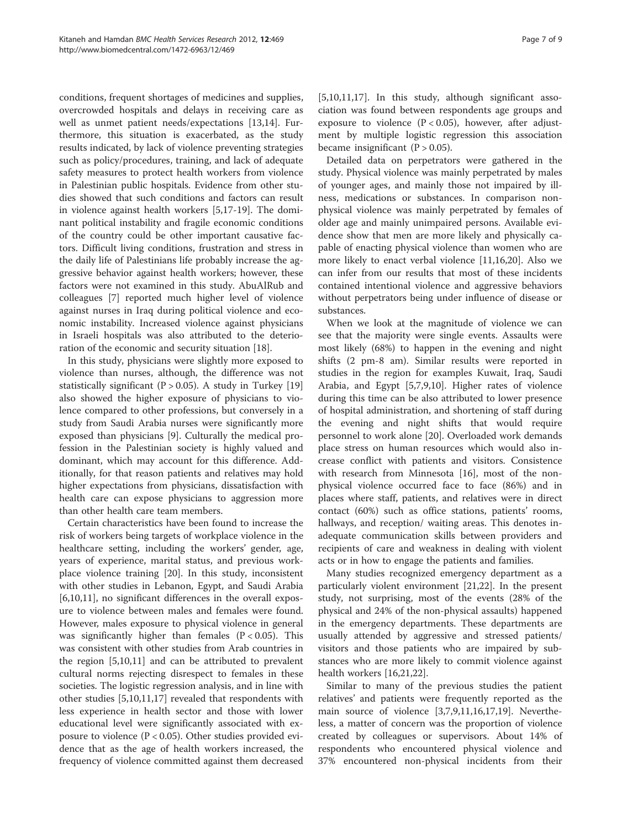conditions, frequent shortages of medicines and supplies, overcrowded hospitals and delays in receiving care as well as unmet patient needs/expectations [\[13,14\]](#page-8-0). Furthermore, this situation is exacerbated, as the study results indicated, by lack of violence preventing strategies such as policy/procedures, training, and lack of adequate safety measures to protect health workers from violence in Palestinian public hospitals. Evidence from other studies showed that such conditions and factors can result in violence against health workers [\[5](#page-8-0),[17](#page-8-0)-[19\]](#page-8-0). The dominant political instability and fragile economic conditions of the country could be other important causative factors. Difficult living conditions, frustration and stress in the daily life of Palestinians life probably increase the aggressive behavior against health workers; however, these factors were not examined in this study. AbuAlRub and colleagues [[7\]](#page-8-0) reported much higher level of violence against nurses in Iraq during political violence and economic instability. Increased violence against physicians in Israeli hospitals was also attributed to the deterioration of the economic and security situation [[18](#page-8-0)].

In this study, physicians were slightly more exposed to violence than nurses, although, the difference was not statistically significant ( $P > 0.05$ ). A study in Turkey [[19](#page-8-0)] also showed the higher exposure of physicians to violence compared to other professions, but conversely in a study from Saudi Arabia nurses were significantly more exposed than physicians [[9](#page-8-0)]. Culturally the medical profession in the Palestinian society is highly valued and dominant, which may account for this difference. Additionally, for that reason patients and relatives may hold higher expectations from physicians, dissatisfaction with health care can expose physicians to aggression more than other health care team members.

Certain characteristics have been found to increase the risk of workers being targets of workplace violence in the healthcare setting, including the workers' gender, age, years of experience, marital status, and previous workplace violence training [\[20\]](#page-8-0). In this study, inconsistent with other studies in Lebanon, Egypt, and Saudi Arabia [[6,10,11\]](#page-8-0), no significant differences in the overall exposure to violence between males and females were found. However, males exposure to physical violence in general was significantly higher than females  $(P < 0.05)$ . This was consistent with other studies from Arab countries in the region [\[5,10,11](#page-8-0)] and can be attributed to prevalent cultural norms rejecting disrespect to females in these societies. The logistic regression analysis, and in line with other studies [\[5,10,11,17](#page-8-0)] revealed that respondents with less experience in health sector and those with lower educational level were significantly associated with exposure to violence  $(P < 0.05)$ . Other studies provided evidence that as the age of health workers increased, the frequency of violence committed against them decreased [[5,10,11,17\]](#page-8-0). In this study, although significant association was found between respondents age groups and exposure to violence  $(P < 0.05)$ , however, after adjustment by multiple logistic regression this association became insignificant  $(P > 0.05)$ .

Detailed data on perpetrators were gathered in the study. Physical violence was mainly perpetrated by males of younger ages, and mainly those not impaired by illness, medications or substances. In comparison nonphysical violence was mainly perpetrated by females of older age and mainly unimpaired persons. Available evidence show that men are more likely and physically capable of enacting physical violence than women who are more likely to enact verbal violence [\[11,16,20\]](#page-8-0). Also we can infer from our results that most of these incidents contained intentional violence and aggressive behaviors without perpetrators being under influence of disease or substances.

When we look at the magnitude of violence we can see that the majority were single events. Assaults were most likely (68%) to happen in the evening and night shifts (2 pm-8 am). Similar results were reported in studies in the region for examples Kuwait, Iraq, Saudi Arabia, and Egypt [[5](#page-8-0),[7](#page-8-0),[9,10](#page-8-0)]. Higher rates of violence during this time can be also attributed to lower presence of hospital administration, and shortening of staff during the evening and night shifts that would require personnel to work alone [\[20](#page-8-0)]. Overloaded work demands place stress on human resources which would also increase conflict with patients and visitors. Consistence with research from Minnesota [[16\]](#page-8-0), most of the nonphysical violence occurred face to face (86%) and in places where staff, patients, and relatives were in direct contact (60%) such as office stations, patients' rooms, hallways, and reception/ waiting areas. This denotes inadequate communication skills between providers and recipients of care and weakness in dealing with violent acts or in how to engage the patients and families.

Many studies recognized emergency department as a particularly violent environment [\[21,22\]](#page-8-0). In the present study, not surprising, most of the events (28% of the physical and 24% of the non-physical assaults) happened in the emergency departments. These departments are usually attended by aggressive and stressed patients/ visitors and those patients who are impaired by substances who are more likely to commit violence against health workers [\[16,21,22](#page-8-0)].

Similar to many of the previous studies the patient relatives' and patients were frequently reported as the main source of violence [[3,7,9,11,16,17,19\]](#page-8-0). Nevertheless, a matter of concern was the proportion of violence created by colleagues or supervisors. About 14% of respondents who encountered physical violence and 37% encountered non-physical incidents from their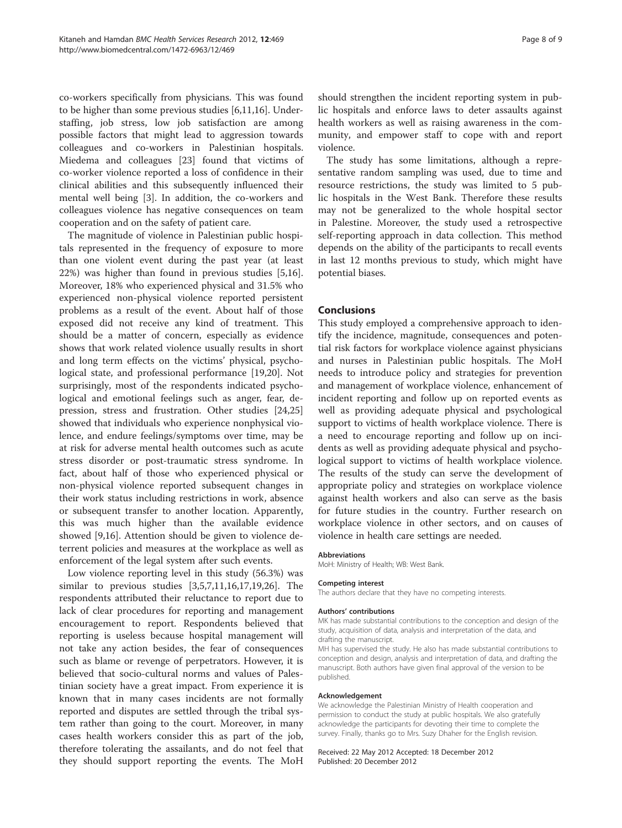co-workers specifically from physicians. This was found to be higher than some previous studies [[6](#page-8-0),[11](#page-8-0),[16](#page-8-0)]. Understaffing, job stress, low job satisfaction are among possible factors that might lead to aggression towards colleagues and co-workers in Palestinian hospitals. Miedema and colleagues [\[23](#page-8-0)] found that victims of co-worker violence reported a loss of confidence in their clinical abilities and this subsequently influenced their mental well being [[3\]](#page-8-0). In addition, the co-workers and colleagues violence has negative consequences on team cooperation and on the safety of patient care.

The magnitude of violence in Palestinian public hospitals represented in the frequency of exposure to more than one violent event during the past year (at least 22%) was higher than found in previous studies [\[5,16](#page-8-0)]. Moreover, 18% who experienced physical and 31.5% who experienced non-physical violence reported persistent problems as a result of the event. About half of those exposed did not receive any kind of treatment. This should be a matter of concern, especially as evidence shows that work related violence usually results in short and long term effects on the victims' physical, psychological state, and professional performance [[19](#page-8-0),[20](#page-8-0)]. Not surprisingly, most of the respondents indicated psychological and emotional feelings such as anger, fear, depression, stress and frustration. Other studies [[24](#page-8-0),[25](#page-8-0)] showed that individuals who experience nonphysical violence, and endure feelings/symptoms over time, may be at risk for adverse mental health outcomes such as acute stress disorder or post-traumatic stress syndrome. In fact, about half of those who experienced physical or non-physical violence reported subsequent changes in their work status including restrictions in work, absence or subsequent transfer to another location. Apparently, this was much higher than the available evidence showed [[9,16\]](#page-8-0). Attention should be given to violence deterrent policies and measures at the workplace as well as enforcement of the legal system after such events.

Low violence reporting level in this study (56.3%) was similar to previous studies [[3,5,7,11,16,17,19,26\]](#page-8-0). The respondents attributed their reluctance to report due to lack of clear procedures for reporting and management encouragement to report. Respondents believed that reporting is useless because hospital management will not take any action besides, the fear of consequences such as blame or revenge of perpetrators. However, it is believed that socio-cultural norms and values of Palestinian society have a great impact. From experience it is known that in many cases incidents are not formally reported and disputes are settled through the tribal system rather than going to the court. Moreover, in many cases health workers consider this as part of the job, therefore tolerating the assailants, and do not feel that they should support reporting the events. The MoH

should strengthen the incident reporting system in public hospitals and enforce laws to deter assaults against health workers as well as raising awareness in the community, and empower staff to cope with and report violence.

The study has some limitations, although a representative random sampling was used, due to time and resource restrictions, the study was limited to 5 public hospitals in the West Bank. Therefore these results may not be generalized to the whole hospital sector in Palestine. Moreover, the study used a retrospective self-reporting approach in data collection. This method depends on the ability of the participants to recall events in last 12 months previous to study, which might have potential biases.

#### Conclusions

This study employed a comprehensive approach to identify the incidence, magnitude, consequences and potential risk factors for workplace violence against physicians and nurses in Palestinian public hospitals. The MoH needs to introduce policy and strategies for prevention and management of workplace violence, enhancement of incident reporting and follow up on reported events as well as providing adequate physical and psychological support to victims of health workplace violence. There is a need to encourage reporting and follow up on incidents as well as providing adequate physical and psychological support to victims of health workplace violence. The results of the study can serve the development of appropriate policy and strategies on workplace violence against health workers and also can serve as the basis for future studies in the country. Further research on workplace violence in other sectors, and on causes of violence in health care settings are needed.

#### Abbreviations

MoH: Ministry of Health; WB: West Bank.

#### Competing interest

The authors declare that they have no competing interests.

#### Authors' contributions

MK has made substantial contributions to the conception and design of the study, acquisition of data, analysis and interpretation of the data, and drafting the manuscript.

MH has supervised the study. He also has made substantial contributions to conception and design, analysis and interpretation of data, and drafting the manuscript. Both authors have given final approval of the version to be published.

#### Acknowledgement

We acknowledge the Palestinian Ministry of Health cooperation and permission to conduct the study at public hospitals. We also gratefully acknowledge the participants for devoting their time to complete the survey. Finally, thanks go to Mrs. Suzy Dhaher for the English revision.

#### Received: 22 May 2012 Accepted: 18 December 2012 Published: 20 December 2012